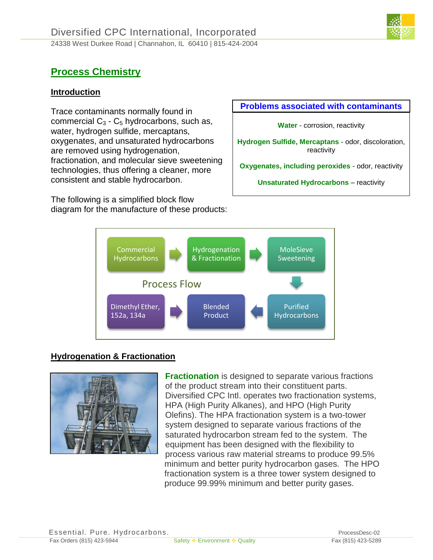

# **Process Chemistry**

## **Introduction**

Trace contaminants normally found in commercial  $C_3$  -  $C_5$  hydrocarbons, such as, water, hydrogen sulfide, mercaptans, oxygenates, and unsaturated hydrocarbons are removed using hydrogenation, fractionation, and molecular sieve sweetening technologies, thus offering a cleaner, more consistent and stable hydrocarbon.

The following is a simplified block flow diagram for the manufacture of these products:

#### **Problems associated with contaminants**

**Water** - corrosion, reactivity

**Hydrogen Sulfide, Mercaptans** - odor, discoloration, reactivity

**Oxygenates, including peroxides** - odor, reactivity

**Unsaturated Hydrocarbons** – reactivity



## **Hydrogenation & Fractionation**



**Fractionation** is designed to separate various fractions of the product stream into their constituent parts. Diversified CPC Intl. operates two fractionation systems, HPA (High Purity Alkanes), and HPO (High Purity Olefins). The HPA fractionation system is a two-tower system designed to separate various fractions of the saturated hydrocarbon stream fed to the system. The equipment has been designed with the flexibility to process various raw material streams to produce 99.5% minimum and better purity hydrocarbon gases. The HPO fractionation system is a three tower system designed to produce 99.99% minimum and better purity gases.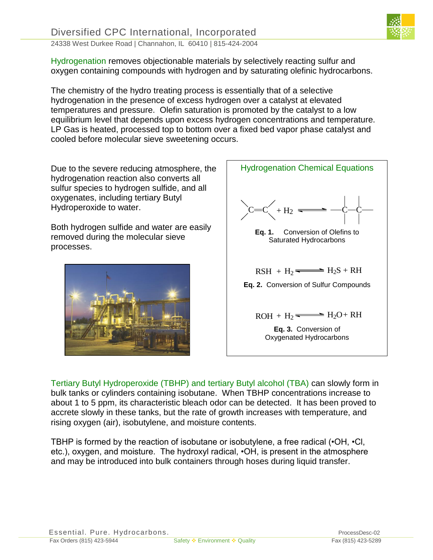

Hydrogenation removes objectionable materials by selectively reacting sulfur and oxygen containing compounds with hydrogen and by saturating olefinic hydrocarbons.

The chemistry of the hydro treating process is essentially that of a selective hydrogenation in the presence of excess hydrogen over a catalyst at elevated temperatures and pressure. Olefin saturation is promoted by the catalyst to a low equilibrium level that depends upon excess hydrogen concentrations and temperature. LP Gas is heated, processed top to bottom over a fixed bed vapor phase catalyst and cooled before molecular sieve sweetening occurs.

Due to the severe reducing atmosphere, the hydrogenation reaction also converts all sulfur species to hydrogen sulfide, and all oxygenates, including tertiary Butyl Hydroperoxide to water.

Both hydrogen sulfide and water are easily removed during the molecular sieve processes.





Tertiary Butyl Hydroperoxide (TBHP) and tertiary Butyl alcohol (TBA) can slowly form in bulk tanks or cylinders containing isobutane. When TBHP concentrations increase to about 1 to 5 ppm, its characteristic bleach odor can be detected. It has been proved to accrete slowly in these tanks, but the rate of growth increases with temperature, and rising oxygen (air), isobutylene, and moisture contents.

TBHP is formed by the reaction of isobutane or isobutylene, a free radical (•OH, •Cl, etc.), oxygen, and moisture. The hydroxyl radical, •OH, is present in the atmosphere and may be introduced into bulk containers through hoses during liquid transfer.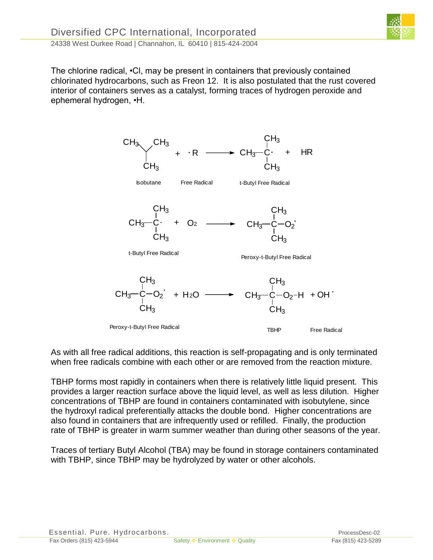The chlorine radical, •Cl, may be present in containers that previously contained chlorinated hydrocarbons, such as Freon 12. It is also postulated that the rust covered interior of containers serves as a catalyst, forming traces of hydrogen peroxide and ephemeral hydrogen, •H.



As with all free radical additions, this reaction is self-propagating and is only terminated when free radicals combine with each other or are removed from the reaction mixture.

TBHP forms most rapidly in containers when there is relatively little liquid present. This provides a larger reaction surface above the liquid level, as well as less dilution. Higher concentrations of TBHP are found in containers contaminated with isobutylene, since the hydroxyl radical preferentially attacks the double bond. Higher concentrations are also found in containers that are infrequently used or refilled. Finally, the production rate of TBHP is greater in warm summer weather than during other seasons of the year.

Traces of tertiary Butyl Alcohol (TBA) may be found in storage containers contaminated with TBHP, since TBHP may be hydrolyzed by water or other alcohols.

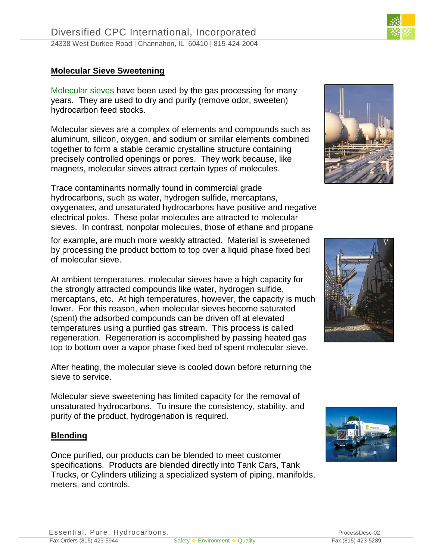#### **Molecular Sieve Sweetening**

Molecular sieves have been used by the gas processing for many years. They are used to dry and purify (remove odor, sweeten) hydrocarbon feed stocks.

Molecular sieves are a complex of elements and compounds such as aluminum, silicon, oxygen, and sodium or similar elements combined together to form a stable ceramic crystalline structure containing precisely controlled openings or pores. They work because, like magnets, molecular sieves attract certain types of molecules.

Trace contaminants normally found in commercial grade hydrocarbons, such as water, hydrogen sulfide, mercaptans, oxygenates, and unsaturated hydrocarbons have positive and negative electrical poles. These polar molecules are attracted to molecular sieves. In contrast, nonpolar molecules, those of ethane and propane

for example, are much more weakly attracted. Material is sweetened by processing the product bottom to top over a liquid phase fixed bed of molecular sieve.

At ambient temperatures, molecular sieves have a high capacity for the strongly attracted compounds like water, hydrogen sulfide, mercaptans, etc. At high temperatures, however, the capacity is much lower. For this reason, when molecular sieves become saturated (spent) the adsorbed compounds can be driven off at elevated temperatures using a purified gas stream. This process is called regeneration. Regeneration is accomplished by passing heated gas top to bottom over a vapor phase fixed bed of spent molecular sieve.

After heating, the molecular sieve is cooled down before returning the sieve to service.

Molecular sieve sweetening has limited capacity for the removal of unsaturated hydrocarbons. To insure the consistency, stability, and purity of the product, hydrogenation is required.

#### **Blending**

Once purified, our products can be blended to meet customer specifications. Products are blended directly into Tank Cars, Tank Trucks, or Cylinders utilizing a specialized system of piping, manifolds, meters, and controls.